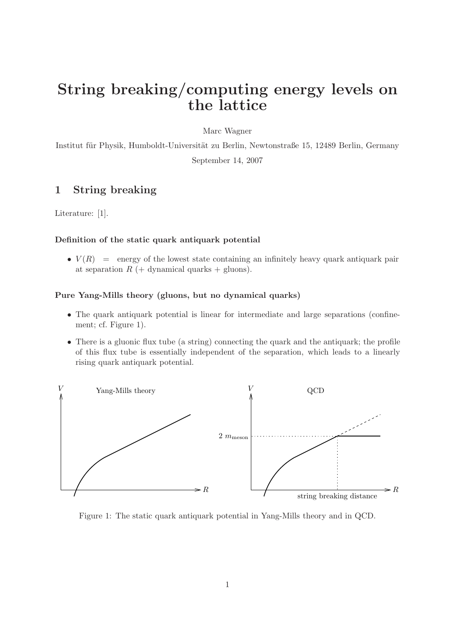# String breaking/computing energy levels on the lattice

Marc Wagner

Institut für Physik, Humboldt-Universität zu Berlin, Newtonstraße 15, 12489 Berlin, Germany September 14, 2007

## 1 String breaking

Literature: [1].

#### Definition of the static quark antiquark potential

•  $V(R)$  = energy of the lowest state containing an infinitely heavy quark antiquark pair at separation  $R$  (+ dynamical quarks + gluons).

#### Pure Yang-Mills theory (gluons, but no dynamical quarks)

- The quark antiquark potential is linear for intermediate and large separations (confinement; cf. Figure 1).
- There is a gluonic flux tube (a string) connecting the quark and the antiquark; the profile of this flux tube is essentially independent of the separation, which leads to a linearly rising quark antiquark potential.



Figure 1: The static quark antiquark potential in Yang-Mills theory and in QCD.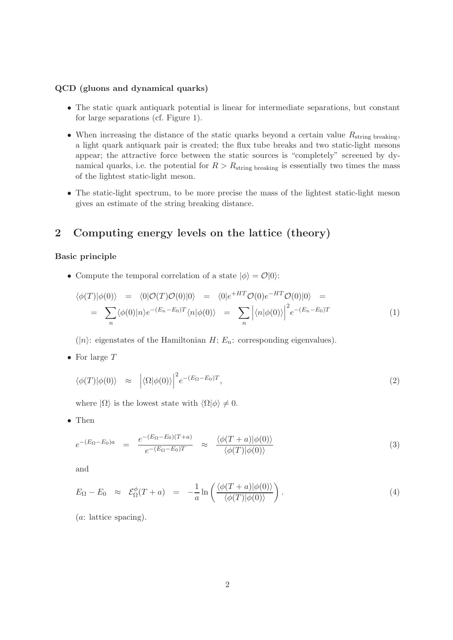#### QCD (gluons and dynamical quarks)

- The static quark antiquark potential is linear for intermediate separations, but constant for large separations (cf. Figure 1).
- When increasing the distance of the static quarks beyond a certain value  $R_{\text{string breaking}}$ , a light quark antiquark pair is created; the flux tube breaks and two static-light mesons appear; the attractive force between the static sources is "completely" screened by dynamical quarks, i.e. the potential for  $R > R_{\text{string breaking}}$  is essentially two times the mass of the lightest static-light meson.
- The static-light spectrum, to be more precise the mass of the lightest static-light meson gives an estimate of the string breaking distance.

# 2 Computing energy levels on the lattice (theory)

#### Basic principle

• Compute the temporal correlation of a state  $|\phi\rangle = \mathcal{O}|0\rangle$ :

$$
\langle \phi(T) | \phi(0) \rangle = \langle 0 | \mathcal{O}(T) \mathcal{O}(0) | 0 \rangle = \langle 0 | e^{+HT} \mathcal{O}(0) e^{-HT} \mathcal{O}(0) | 0 \rangle =
$$
  

$$
= \sum_{n} \langle \phi(0) | n \rangle e^{-(E_n - E_0)T} \langle n | \phi(0) \rangle = \sum_{n} \left| \langle n | \phi(0) \rangle \right|^2 e^{-(E_n - E_0)T}
$$
(1)

 $(|n\rangle$ : eigenstates of the Hamiltonian H;  $E_n$ : corresponding eigenvalues).

• For large  $T$ 

$$
\langle \phi(T) | \phi(0) \rangle \approx \left| \langle \Omega | \phi(0) \rangle \right|^2 e^{-(E_{\Omega} - E_0)T}, \tag{2}
$$

where  $|\Omega\rangle$  is the lowest state with  $\langle \Omega | \phi \rangle \neq 0$ .

• Then

$$
e^{-(E_{\Omega}-E_{0})a} = \frac{e^{-(E_{\Omega}-E_{0})(T+a)}}{e^{-(E_{\Omega}-E_{0})T}} \approx \frac{\langle \phi(T+a)|\phi(0)\rangle}{\langle \phi(T)|\phi(0)\rangle}
$$
(3)

and

$$
E_{\Omega} - E_0 \approx \mathcal{E}_{\Omega}^{\phi}(T+a) = -\frac{1}{a} \ln \left( \frac{\langle \phi(T+a) | \phi(0) \rangle}{\langle \phi(T) | \phi(0) \rangle} \right). \tag{4}
$$

(a: lattice spacing).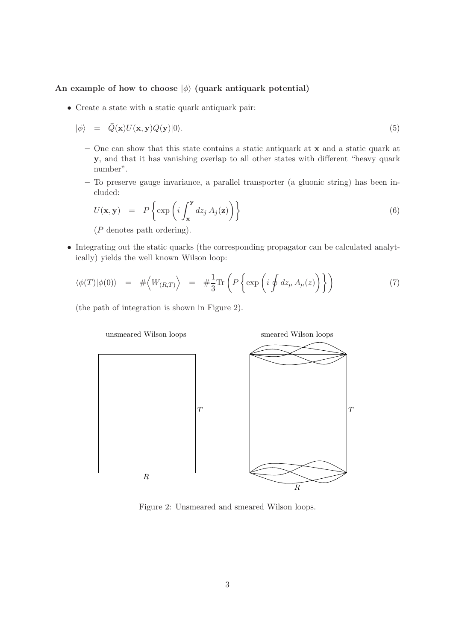#### An example of how to choose  $|\phi\rangle$  (quark antiquark potential)

• Create a state with a static quark antiquark pair:

$$
|\phi\rangle = \bar{Q}(\mathbf{x})U(\mathbf{x}, \mathbf{y})Q(\mathbf{y})|0\rangle.
$$
\n(5)

- One can show that this state contains a static antiquark at x and a static quark at y, and that it has vanishing overlap to all other states with different "heavy quark number".
- To preserve gauge invariance, a parallel transporter (a gluonic string) has been included:

$$
U(\mathbf{x}, \mathbf{y}) = P\left\{\exp\left(i \int_{\mathbf{x}}^{\mathbf{y}} dz_j A_j(\mathbf{z})\right)\right\}
$$
(6)

(P denotes path ordering).

• Integrating out the static quarks (the corresponding propagator can be calculated analytically) yields the well known Wilson loop:

$$
\langle \phi(T) | \phi(0) \rangle = # \langle W_{(R,T)} \rangle = # \frac{1}{3} \text{Tr} \left( P \left\{ \exp \left( i \oint dz_{\mu} A_{\mu}(z) \right) \right\} \right) \tag{7}
$$

(the path of integration is shown in Figure 2).



Figure 2: Unsmeared and smeared Wilson loops.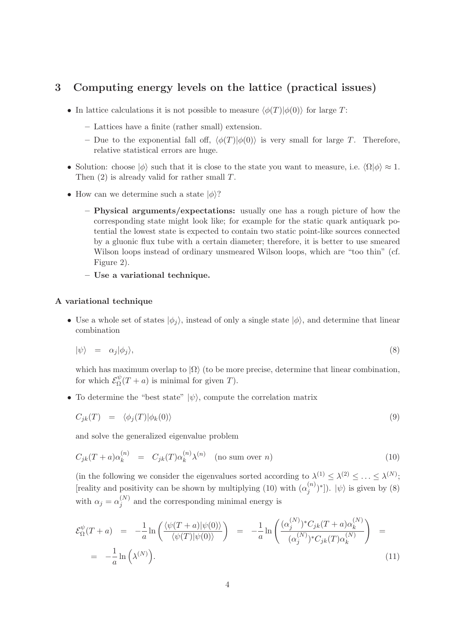## 3 Computing energy levels on the lattice (practical issues)

- In lattice calculations it is not possible to measure  $\langle \phi(T)|\phi(0)\rangle$  for large T:
	- Lattices have a finite (rather small) extension.
	- Due to the exponential fall off,  $\langle \phi(T)|\phi(0)\rangle$  is very small for large T. Therefore, relative statistical errors are huge.
- Solution: choose  $|\phi\rangle$  such that it is close to the state you want to measure, i.e.  $\langle \Omega | \phi \rangle \approx 1$ . Then  $(2)$  is already valid for rather small T.
- How can we determine such a state  $|\phi\rangle$ ?
	- Physical arguments/expectations: usually one has a rough picture of how the corresponding state might look like; for example for the static quark antiquark potential the lowest state is expected to contain two static point-like sources connected by a gluonic flux tube with a certain diameter; therefore, it is better to use smeared Wilson loops instead of ordinary unsmeared Wilson loops, which are "too thin" (cf. Figure 2).
	- Use a variational technique.

#### A variational technique

• Use a whole set of states  $|\phi_i\rangle$ , instead of only a single state  $|\phi\rangle$ , and determine that linear combination

$$
|\psi\rangle = \alpha_j |\phi_j\rangle,\tag{8}
$$

which has maximum overlap to  $|\Omega\rangle$  (to be more precise, determine that linear combination, for which  $\mathcal{E}_{\Omega}^{\psi}$  $Q_{\Omega}^{\psi}(T+a)$  is minimal for given T).

• To determine the "best state"  $|\psi\rangle$ , compute the correlation matrix

$$
C_{jk}(T) = \langle \phi_j(T) | \phi_k(0) \rangle \tag{9}
$$

and solve the generalized eigenvalue problem

$$
C_{jk}(T+a)\alpha_k^{(n)} = C_{jk}(T)\alpha_k^{(n)}\lambda^{(n)} \quad \text{(no sum over } n\text{)}
$$
\n(10)

(in the following we consider the eigenvalues sorted according to  $\lambda^{(1)} \leq \lambda^{(2)} \leq \ldots \leq \lambda^{(N)}$ ; [reality and positivity can be shown by multiplying (10) with  $(\alpha_i^{(n)})$  $\begin{bmatrix} (n) \\ j \end{bmatrix}$ ).  $|\psi\rangle$  is given by (8) with  $\alpha_j = \alpha_i^{(N)}$  $j^{(N)}$  and the corresponding minimal energy is

$$
\mathcal{E}_{\Omega}^{\psi}(T+a) = -\frac{1}{a} \ln \left( \frac{\langle \psi(T+a) | \psi(0) \rangle}{\langle \psi(T) | \psi(0) \rangle} \right) = -\frac{1}{a} \ln \left( \frac{(\alpha_j^{(N)})^* C_{jk}(T+a) \alpha_k^{(N)}}{(\alpha_j^{(N)})^* C_{jk}(T) \alpha_k^{(N)}} \right) = -\frac{1}{a} \ln \left( \lambda^{(N)} \right). \tag{11}
$$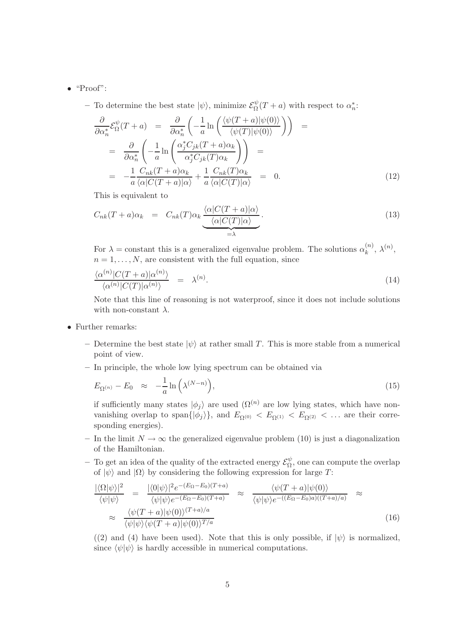#### $\bullet$  "Proof":

– To determine the best state  $|\psi\rangle$ , minimize  $\mathcal{E}_{\Omega}^{\psi}$  $\frac{\psi}{\Omega}(T+a)$  with respect to  $\alpha_n^*$  $\frac{\ast}{n}$ :

$$
\frac{\partial}{\partial \alpha_n^*} \mathcal{E}_{\Omega}^{\psi}(T+a) = \frac{\partial}{\partial \alpha_n^*} \left( -\frac{1}{a} \ln \left( \frac{\langle \psi(T+a) | \psi(0) \rangle}{\langle \psi(T) | \psi(0) \rangle} \right) \right) =
$$
\n
$$
= \frac{\partial}{\partial \alpha_n^*} \left( -\frac{1}{a} \ln \left( \frac{\alpha_j^* C_{jk}(T+a) \alpha_k}{\alpha_j^* C_{jk}(T) \alpha_k} \right) \right) =
$$
\n
$$
= -\frac{1}{a} \frac{C_{nk}(T+a) \alpha_k}{\langle \alpha | C(T+a) | \alpha \rangle} + \frac{1}{a} \frac{C_{nk}(T) \alpha_k}{\langle \alpha | C(T) | \alpha \rangle} = 0.
$$
\n(12)

This is equivalent to

$$
C_{nk}(T+a)\alpha_k = C_{nk}(T)\alpha_k \underbrace{\frac{\langle \alpha | C(T+a) | \alpha \rangle}{\langle \alpha | C(T) | \alpha \rangle}}_{=\lambda}.
$$
\n(13)

For  $\lambda =$  constant this is a generalized eigenvalue problem. The solutions  $\alpha_k^{(n)}$  $\lambda^{(n)}, \lambda^{(n)},$  $n = 1, \ldots, N$ , are consistent with the full equation, since

$$
\frac{\langle \alpha^{(n)} | C(T+a) | \alpha^{(n)} \rangle}{\langle \alpha^{(n)} | C(T) | \alpha^{(n)} \rangle} = \lambda^{(n)}.
$$
\n(14)

Note that this line of reasoning is not waterproof, since it does not include solutions with non-constant  $\lambda$ .

- Further remarks:
	- Determine the best state  $|\psi\rangle$  at rather small T. This is more stable from a numerical point of view.
	- In principle, the whole low lying spectrum can be obtained via

$$
E_{\Omega^{(n)}} - E_0 \quad \approx \quad -\frac{1}{a} \ln \left( \lambda^{(N-n)} \right), \tag{15}
$$

if sufficiently many states  $|\phi_j\rangle$  are used  $(\Omega^{(n)}$  are low lying states, which have nonvanishing overlap to span $\{|\phi_j\rangle\}$ , and  $E_{\Omega^{(0)}} < E_{\Omega^{(1)}} < E_{\Omega^{(2)}} < \dots$  are their corresponding energies).

- In the limit  $N \to \infty$  the generalized eigenvalue problem (10) is just a diagonalization of the Hamiltonian.
- To get an idea of the quality of the extracted energy  $\mathcal{E}_{\Omega}^{\psi}$  $\Omega$ <sup>*ψ*</sup>, one can compute the overlap of  $|\psi\rangle$  and  $|\Omega\rangle$  by considering the following expression for large T:

$$
\frac{|\langle\Omega|\psi\rangle|^2}{\langle\psi|\psi\rangle} = \frac{|\langle0|\psi\rangle|^2 e^{-(E_{\Omega} - E_0)(T+a)}}{\langle\psi|\psi\rangle e^{-(E_{\Omega} - E_0)(T+a)}} \approx \frac{\langle\psi(T+a)|\psi(0)\rangle}{\langle\psi|\psi\rangle e^{-(E_{\Omega} - E_0)a)((T+a)/a)}} \approx \frac{\langle\psi(T+a)|\psi(0)\rangle^{(T+a)/a}}{\langle\psi|\psi\rangle\langle\psi(T+a)|\psi(0)\rangle^{T/a}}
$$
\n(16)

((2) and (4) have been used). Note that this is only possible, if  $|\psi\rangle$  is normalized, since  $\langle \psi | \psi \rangle$  is hardly accessible in numerical computations.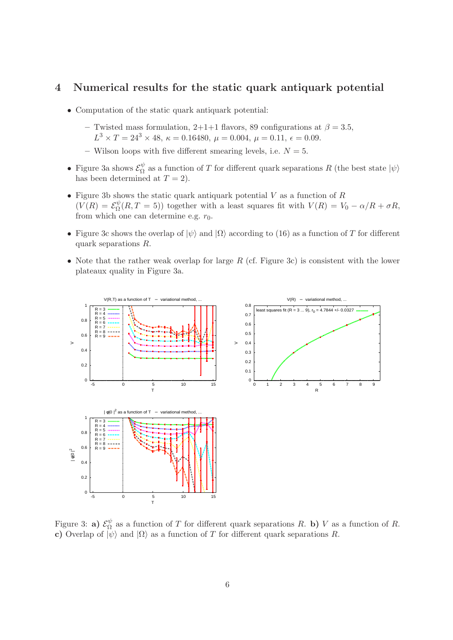## 4 Numerical results for the static quark antiquark potential

- Computation of the static quark antiquark potential:
	- Twisted mass formulation, 2+1+1 flavors, 89 configurations at  $\beta = 3.5$ ,  $L^3 \times T = 24^3 \times 48, \ \kappa = 0.16480, \ \mu = 0.004, \ \mu = 0.11, \ \epsilon = 0.09.$
	- Wilson loops with five different smearing levels, i.e.  $N = 5$ .
- Figure 3a shows  $\mathcal{E}_{\Omega}^{\psi}$  $\frac{\psi}{\Omega}$  as a function of T for different quark separations R (the best state  $|\psi\rangle$ ) has been determined at  $T = 2$ ).
- Figure 3b shows the static quark antiquark potential  $V$  as a function of  $R$  $(V(R) = \mathcal{E}^{\psi}_{\Omega}$  $\mathcal{L}_{\Omega}(\mathbb{R}, T = 5)$  together with a least squares fit with  $V(\mathbb{R}) = V_0 - \alpha/R + \sigma \mathbb{R}$ , from which one can determine e.g.  $r_0$ .
- Figure 3c shows the overlap of  $|\psi\rangle$  and  $|\Omega\rangle$  according to (16) as a function of T for different quark separations R.
- Note that the rather weak overlap for large  $R$  (cf. Figure 3c) is consistent with the lower plateaux quality in Figure 3a.



Figure 3: **a**)  $\mathcal{E}_{\Omega}^{\psi}$  $\frac{\varphi}{\Omega}$  as a function of T for different quark separations R. b) V as a function of R. c) Overlap of  $|\psi\rangle$  and  $|\Omega\rangle$  as a function of T for different quark separations R.